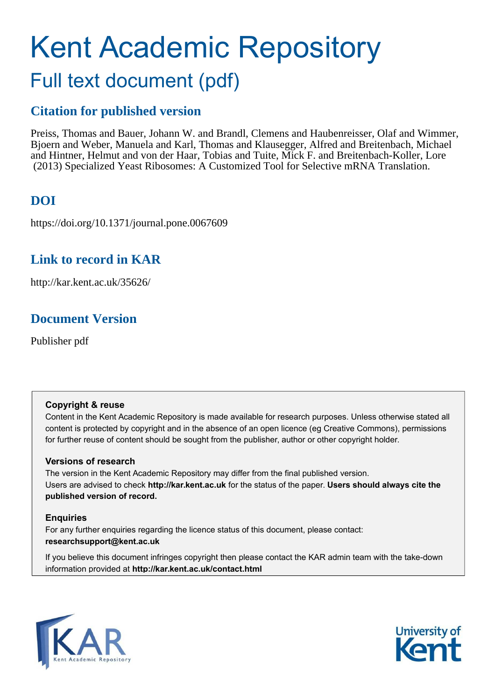# Kent Academic Repository Full text document (pdf)

### **Citation for published version**

Preiss, Thomas and Bauer, Johann W. and Brandl, Clemens and Haubenreisser, Olaf and Wimmer, Bjoern and Weber, Manuela and Karl, Thomas and Klausegger, Alfred and Breitenbach, Michael and Hintner, Helmut and von der Haar, Tobias and Tuite, Mick F. and Breitenbach-Koller, Lore (2013) Specialized Yeast Ribosomes: A Customized Tool for Selective mRNA Translation.

### **DOI**

https://doi.org/10.1371/journal.pone.0067609

### **Link to record in KAR**

http://kar.kent.ac.uk/35626/

### **Document Version**

Publisher pdf

### **Copyright & reuse**

Content in the Kent Academic Repository is made available for research purposes. Unless otherwise stated all content is protected by copyright and in the absence of an open licence (eg Creative Commons), permissions for further reuse of content should be sought from the publisher, author or other copyright holder.

### **Versions of research**

The version in the Kent Academic Repository may differ from the final published version. Users are advised to check **http://kar.kent.ac.uk** for the status of the paper. **Users should always cite the published version of record.**

### **Enquiries**

For any further enquiries regarding the licence status of this document, please contact: **researchsupport@kent.ac.uk**

If you believe this document infringes copyright then please contact the KAR admin team with the take-down information provided at **http://kar.kent.ac.uk/contact.html**



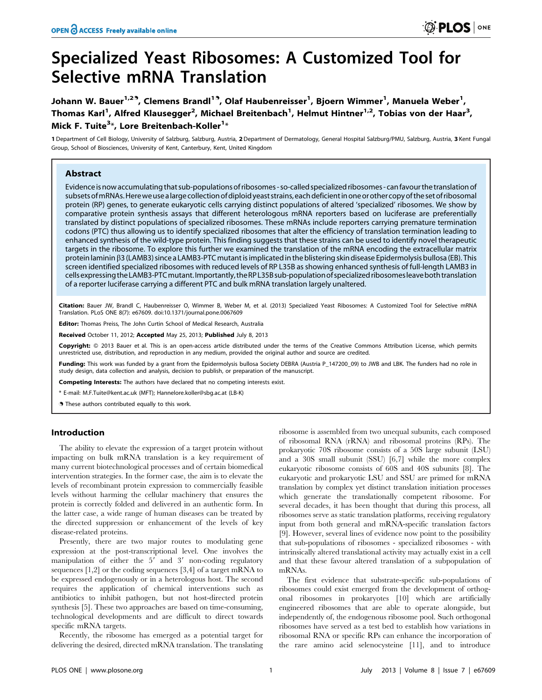## Specialized Yeast Ribosomes: A Customized Tool for Selective mRNA Translation

Johann W. Bauer<sup>1,29</sup>, Clemens Brandl<sup>19</sup>, Olaf Haubenreisser<sup>1</sup>, Bjoern Wimmer<sup>1</sup>, Manuela Weber<sup>1</sup>, Thomas Karl<sup>1</sup>, Alfred Klausegger<sup>2</sup>, Michael Breitenbach<sup>1</sup>, Helmut Hintner<sup>1,2</sup>, Tobias von der Haar<sup>3</sup>, Mick F. Tuite<sup>3\*</sup>, Lore Breitenbach-Koller<sup>1\*</sup>

1 Department of Cell Biology, University of Salzburg, Salzburg, Austria, 2 Department of Dermatology, General Hospital Salzburg/PMU, Salzburg, Austria, 3 Kent Fungal Group, School of Biosciences, University of Kent, Canterbury, Kent, United Kingdom

#### Abstract

Evidence is now accumulating that sub-populations of ribosomes - so-called specialized ribosomes - canfavour the translation of subsets ofmRNAs.Herewe usea large collection ofdiploid yeast strains, each deficient in one or other copy of the set of ribosomal protein (RP) genes, to generate eukaryotic cells carrying distinct populations of altered 'specialized' ribosomes. We show by comparative protein synthesis assays that different heterologous mRNA reporters based on luciferase are preferentially translated by distinct populations of specialized ribosomes. These mRNAs include reporters carrying premature termination codons (PTC) thus allowing us to identify specialized ribosomes that alter the efficiency of translation termination leading to enhanced synthesis of the wild-type protein. This finding suggests that these strains can be used to identify novel therapeutic targets in the ribosome. To explore this further we examined the translation of the mRNA encoding the extracellular matrix protein laminin  $\beta$ 3 (LAMB3) since a LAMB3-PTC mutant is implicated in the blistering skin disease Epidermolysis bullosa (EB). This screen identified specialized ribosomes with reduced levels of RP L35B as showing enhanced synthesis of full-length LAMB3 in cells expressing theLAMB3-PTCmutant.Importantly, theRPL35B sub-populationof specialized ribosomesleaveboth translation of a reporter luciferase carrying a different PTC and bulk mRNA translation largely unaltered.

Citation: Bauer JW, Brandl C, Haubenreisser O, Wimmer B, Weber M, et al. (2013) Specialized Yeast Ribosomes: A Customized Tool for Selective mRNA Translation. PLoS ONE 8(7): e67609. doi:10.1371/journal.pone.0067609

Editor: Thomas Preiss, The John Curtin School of Medical Research, Australia

Received October 11, 2012; Accepted May 25, 2013; Published July 8, 2013

Copyright: © 2013 Bauer et al. This is an open-access article distributed under the terms of the Creative Commons Attribution License, which permits unrestricted use, distribution, and reproduction in any medium, provided the original author and source are credited.

Funding: This work was funded by a grant from the Epidermolysis bullosa Society DEBRA (Austria P 147200 09) to JWB and LBK. The funders had no role in study design, data collection and analysis, decision to publish, or preparation of the manuscript.

Competing Interests: The authors have declared that no competing interests exist.

\* E-mail: M.F.Tuite@kent.ac.uk (MFT); Hannelore.koller@sbg.ac.at (LB-K)

**.** These authors contributed equally to this work.

#### Introduction

The ability to elevate the expression of a target protein without impacting on bulk mRNA translation is a key requirement of many current biotechnological processes and of certain biomedical intervention strategies. In the former case, the aim is to elevate the levels of recombinant protein expression to commercially feasible levels without harming the cellular machinery that ensures the protein is correctly folded and delivered in an authentic form. In the latter case, a wide range of human diseases can be treated by the directed suppression or enhancement of the levels of key disease-related proteins.

Presently, there are two major routes to modulating gene expression at the post-transcriptional level. One involves the manipulation of either the  $5'$  and  $3'$  non-coding regulatory sequences [1,2] or the coding sequences [3,4] of a target mRNA to be expressed endogenously or in a heterologous host. The second requires the application of chemical interventions such as antibiotics to inhibit pathogen, but not host-directed protein synthesis [5]. These two approaches are based on time-consuming, technological developments and are difficult to direct towards specific mRNA targets.

Recently, the ribosome has emerged as a potential target for delivering the desired, directed mRNA translation. The translating ribosome is assembled from two unequal subunits, each composed of ribosomal RNA (rRNA) and ribosomal proteins (RPs). The prokaryotic 70S ribosome consists of a 50S large subunit (LSU) and a 30S small subunit (SSU) [6,7] while the more complex eukaryotic ribosome consists of 60S and 40S subunits [8]. The eukaryotic and prokaryotic LSU and SSU are primed for mRNA translation by complex yet distinct translation initiation processes which generate the translationally competent ribosome. For several decades, it has been thought that during this process, all ribosomes serve as static translation platforms, receiving regulatory input from both general and mRNA-specific translation factors [9]. However, several lines of evidence now point to the possibility that sub-populations of ribosomes - specialized ribosomes - with intrinsically altered translational activity may actually exist in a cell and that these favour altered translation of a subpopulation of mRNAs.

The first evidence that substrate-specific sub-populations of ribosomes could exist emerged from the development of orthogonal ribosomes in prokaryotes [10] which are artificially engineered ribosomes that are able to operate alongside, but independently of, the endogenous ribosome pool. Such orthogonal ribosomes have served as a test bed to establish how variations in ribosomal RNA or specific RPs can enhance the incorporation of the rare amino acid selenocysteine [11], and to introduce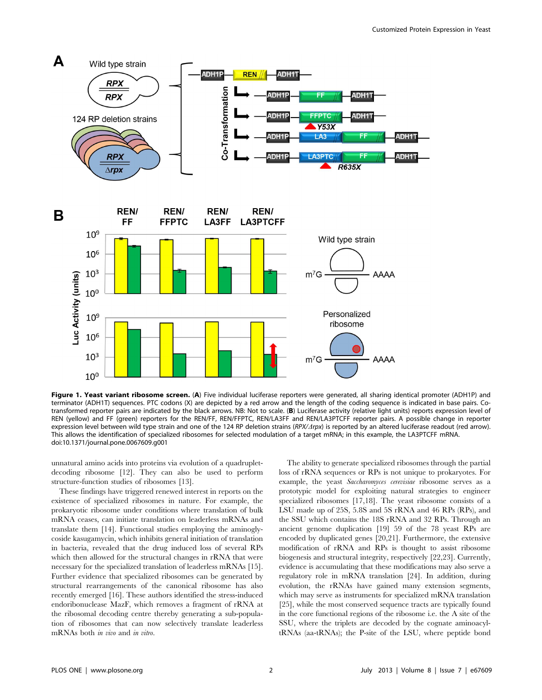

Figure 1. Yeast variant ribosome screen. (A) Five individual luciferase reporters were generated, all sharing identical promoter (ADH1P) and terminator (ADH1T) sequences. PTC codons (X) are depicted by a red arrow and the length of the coding sequence is indicated in base pairs. Cotransformed reporter pairs are indicated by the black arrows. NB: Not to scale. (B) Luciferase activity (relative light units) reports expression level of REN (yellow) and FF (green) reporters for the REN/FF, REN/FFPTC, REN/LA3FF and REN/LA3PTCFF reporter pairs. A possible change in reporter expression level between wild type strain and one of the 124 RP deletion strains (RPX/1rpx) is reported by an altered luciferase readout (red arrow). This allows the identification of specialized ribosomes for selected modulation of a target mRNA; in this example, the LA3PTCFF mRNA. doi:10.1371/journal.pone.0067609.g001

unnatural amino acids into proteins via evolution of a quadrupletdecoding ribosome [12]. They can also be used to perform structure-function studies of ribosomes [13].

These findings have triggered renewed interest in reports on the existence of specialized ribosomes in nature. For example, the prokaryotic ribosome under conditions where translation of bulk mRNA ceases, can initiate translation on leaderless mRNAs and translate them [14]. Functional studies employing the aminoglycoside kasugamycin, which inhibits general initiation of translation in bacteria, revealed that the drug induced loss of several RPs which then allowed for the structural changes in rRNA that were necessary for the specialized translation of leaderless mRNAs [15]. Further evidence that specialized ribosomes can be generated by structural rearrangements of the canonical ribosome has also recently emerged [16]. These authors identified the stress-induced endoribonuclease MazF, which removes a fragment of rRNA at the ribosomal decoding centre thereby generating a sub-population of ribosomes that can now selectively translate leaderless mRNAs both in vivo and in vitro.

The ability to generate specialized ribosomes through the partial loss of rRNA sequences or RPs is not unique to prokaryotes. For example, the yeast Saccharomyces cerevisiae ribosome serves as a prototypic model for exploiting natural strategies to engineer specialized ribosomes [17,18]. The yeast ribosome consists of a LSU made up of 25S, 5.8S and 5S rRNA and 46 RPs (RPs), and the SSU which contains the 18S rRNA and 32 RPs. Through an ancient genome duplication [19] 59 of the 78 yeast RPs are encoded by duplicated genes [20,21]. Furthermore, the extensive modification of rRNA and RPs is thought to assist ribosome biogenesis and structural integrity, respectively [22,23]. Currently, evidence is accumulating that these modifications may also serve a regulatory role in mRNA translation [24]. In addition, during evolution, the rRNAs have gained many extension segments, which may serve as instruments for specialized mRNA translation [25], while the most conserved sequence tracts are typically found in the core functional regions of the ribosome i.e. the A site of the SSU, where the triplets are decoded by the cognate aminoacyltRNAs (aa-tRNAs); the P-site of the LSU, where peptide bond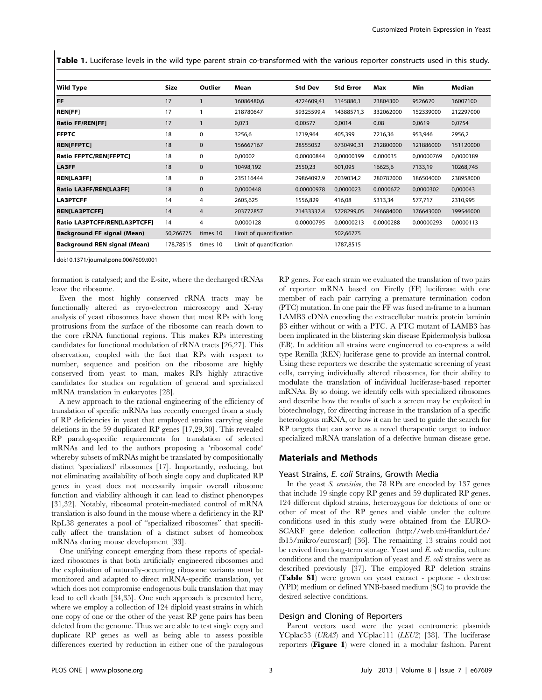Table 1. Luciferase levels in the wild type parent strain co-transformed with the various reporter constructs used in this study.

| Wild Type                          | Size      | Outlier        | Mean                    | <b>Std Dev</b> | <b>Std Error</b> | Max       | Min        | Median    |
|------------------------------------|-----------|----------------|-------------------------|----------------|------------------|-----------|------------|-----------|
| l FF.                              | 17        |                | 16086480,6              | 4724609,41     | 1145886,1        | 23804300  | 9526670    | 16007100  |
| <b>REN[FF]</b>                     | 17        |                | 218780647               | 59325599,4     | 14388571,3       | 332062000 | 152339000  | 212297000 |
| <b>Ratio FF/REN[FF]</b>            | 17        |                | 0,073                   | 0,00577        | 0,0014           | 0,08      | 0,0619     | 0,0754    |
| <b>FFPTC</b>                       | 18        | 0              | 3256,6                  | 1719,964       | 405,399          | 7216,36   | 953,946    | 2956,2    |
| <b>REN[FFPTC]</b>                  | 18        | $\mathbf 0$    | 156667167               | 28555052       | 6730490,31       | 212800000 | 121886000  | 151120000 |
| Ratio FFPTC/REN[FFPTC]             | 18        | 0              | 0,00002                 | 0,00000844     | 0,00000199       | 0,000035  | 0,00000769 | 0,0000189 |
| <b>LA3FF</b>                       | 18        | $\mathbf{0}$   | 10498,192               | 2550,23        | 601,095          | 16625,6   | 7133,19    | 10268,745 |
| <b>REN[LA3FF]</b>                  | 18        | 0              | 235116444               | 29864092.9     | 7039034,2        | 280782000 | 186504000  | 238958000 |
| <b>Ratio LA3FF/REN[LA3FF]</b>      | 18        | $\mathbf 0$    | 0,0000448               | 0,00000978     | 0,0000023        | 0,0000672 | 0,0000302  | 0,000043  |
| <b>LA3PTCFF</b>                    | 14        | 4              | 2605,625                | 1556,829       | 416,08           | 5313,34   | 577,717    | 2310,995  |
| <b>REN[LA3PTCFF]</b>               | 14        | $\overline{4}$ | 203772857               | 21433332,4     | 5728299,05       | 246684000 | 176643000  | 199546000 |
| Ratio LA3PTCFF/REN[LA3PTCFF]       | 14        | 4              | 0,0000128               | 0,00000795     | 0,00000213       | 0,0000288 | 0,00000293 | 0,0000113 |
| <b>Background FF signal (Mean)</b> | 50,266775 | times 10       | Limit of quantification |                | 502,66775        |           |            |           |
| Background REN signal (Mean)       | 178,78515 | times 10       | Limit of quantification |                | 1787,8515        |           |            |           |

doi:10.1371/journal.pone.0067609.t001

formation is catalysed; and the E-site, where the decharged tRNAs leave the ribosome.

Even the most highly conserved rRNA tracts may be functionally altered as cryo-electron microscopy and X-ray analysis of yeast ribosomes have shown that most RPs with long protrusions from the surface of the ribosome can reach down to the core rRNA functional regions. This makes RPs interesting candidates for functional modulation of rRNA tracts [26,27]. This observation, coupled with the fact that RPs with respect to number, sequence and position on the ribosome are highly conserved from yeast to man, makes RPs highly attractive candidates for studies on regulation of general and specialized mRNA translation in eukaryotes [28].

A new approach to the rational engineering of the efficiency of translation of specific mRNAs has recently emerged from a study of RP deficiencies in yeast that employed strains carrying single deletions in the 59 duplicated RP genes [17,29,30]. This revealed RP paralog-specific requirements for translation of selected mRNAs and led to the authors proposing a 'ribosomal code' whereby subsets of mRNAs might be translated by compositionally distinct 'specialized' ribosomes [17]. Importantly, reducing, but not eliminating availability of both single copy and duplicated RP genes in yeast does not necessarily impair overall ribosome function and viability although it can lead to distinct phenotypes [31,32]. Notably, ribosomal protein-mediated control of mRNA translation is also found in the mouse where a deficiency in the RP RpL38 generates a pool of ''specialized ribosomes'' that specifically affect the translation of a distinct subset of homeobox mRNAs during mouse development [33].

One unifying concept emerging from these reports of specialized ribosomes is that both artificially engineered ribosomes and the exploitation of naturally-occurring ribosome variants must be monitored and adapted to direct mRNA-specific translation, yet which does not compromise endogenous bulk translation that may lead to cell death [34,35]. One such approach is presented here, where we employ a collection of 124 diploid yeast strains in which one copy of one or the other of the yeast RP gene pairs has been deleted from the genome. Thus we are able to test single copy and duplicate RP genes as well as being able to assess possible differences exerted by reduction in either one of the paralogous RP genes. For each strain we evaluated the translation of two pairs of reporter mRNA based on Firefly (FF) luciferase with one member of each pair carrying a premature termination codon (PTC) mutation. In one pair the FF was fused in-frame to a human LAMB3 cDNA encoding the extracellular matrix protein laminin  $\beta$ 3 either without or with a PTC. A PTC mutant of LAMB3 has been implicated in the blistering skin disease Epidermolysis bullosa (EB). In addition all strains were engineered to co-express a wild type Renilla (REN) luciferase gene to provide an internal control. Using these reporters we describe the systematic screening of yeast cells, carrying individually altered ribosomes, for their ability to modulate the translation of individual luciferase-based reporter mRNAs. By so doing, we identify cells with specialized ribosomes and describe how the results of such a screen may be exploited in biotechnology, for directing increase in the translation of a specific heterologous mRNA, or how it can be used to guide the search for RP targets that can serve as a novel therapeutic target to induce specialized mRNA translation of a defective human disease gene.

#### Materials and Methods

#### Yeast Strains, E. coli Strains, Growth Media

In the yeast *S. cerevisiae*, the 78 RPs are encoded by 137 genes that include 19 single copy RP genes and 59 duplicated RP genes. 124 different diploid strains, heterozygous for deletions of one or other of most of the RP genes and viable under the culture conditions used in this study were obtained from the EURO-SCARF gene deletion collection (http://web.uni-frankfurt.de/ fb15/mikro/euroscarf) [36]. The remaining 13 strains could not be revived from long-term storage. Yeast and E. coli media, culture conditions and the manipulation of yeast and  $E$ . *coli* strains were as described previously [37]. The employed RP deletion strains (Table S1) were grown on yeast extract - peptone - dextrose (YPD) medium or defined YNB-based medium (SC) to provide the desired selective conditions.

#### Design and Cloning of Reporters

Parent vectors used were the yeast centromeric plasmids YCplac33 (URA3) and YCplac111 (LEU2) [38]. The luciferase reporters (Figure 1) were cloned in a modular fashion. Parent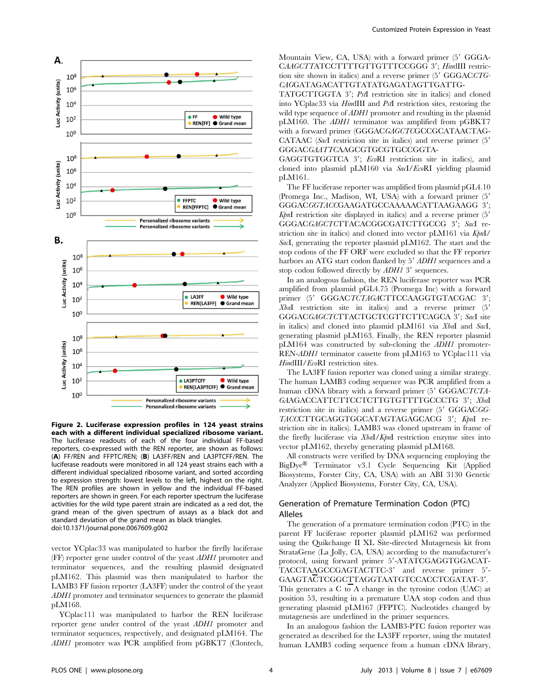

Figure 2. Luciferase expression profiles in 124 yeast strains each with a different individual specialized ribosome variant. The luciferase readouts of each of the four individual FF-based reporters, co-expressed with the REN reporter, are shown as follows: (A) FF/REN and FFPTC/REN; (B) LA3FF/REN and LA3PTCFF/REN. The luciferase readouts were monitored in all 124 yeast strains each with a different individual specialized ribosome variant, and sorted according to expression strength: lowest levels to the left, highest on the right. The REN profiles are shown in yellow and the individual FF-based reporters are shown in green. For each reporter spectrum the luciferase activities for the wild type parent strain are indicated as a red dot, the grand mean of the given spectrum of assays as a black dot and standard deviation of the grand mean as black triangles. doi:10.1371/journal.pone.0067609.g002

vector YCplac33 was manipulated to harbor the firefly luciferase (FF) reporter gene under control of the yeast ADH1 promoter and terminator sequences, and the resulting plasmid designated pLM162. This plasmid was then manipulated to harbor the LAMB3 FF fusion reporter (LA3FF) under the control of the yeast ADH1 promoter and terminator sequences to generate the plasmid pLM168.

YCplac111 was manipulated to harbor the REN luciferase reporter gene under control of the yeast ADH1 promoter and terminator sequences, respectively, and designated pLM164. The ADH1 promoter was PCR amplified from pGBKT7 (Clontech, Mountain View, CA, USA) with a forward primer (5' GGGA-CAAGCTTATCCTTTTGTTGTTTCCGGG 3'; HindIII restriction site shown in italics) and a reverse primer  $(5'$  GGGACCTG-CAGGATAGACATTGTATATGAGATAGTTGATTG-

TATGCTTGGTA 3'; PstI restriction site in italics) and cloned into YCplac33 via HindIII and PstI restriction sites, restoring the wild type sequence of *ADH1* promoter and resulting in the plasmid pLM160. The ADH1 terminator was amplified from pGBKT7 with a forward primer (GGGACGAGCTCGCCGCATAACTAG-CATAAC (SacI restriction site in italics) and reverse primer (5' GGGACGAATTCAAGCGTGCGTGCCGGTA-

GAGGTGTGGTCA 3'; EcoRI restriction site in italics), and cloned into plasmid pLM160 via SacI/EcoRI yielding plasmid pLM161.

The FF luciferase reporter was amplified from plasmid pGL4.10 (Promega Inc., Madison, WI, USA) with a forward primer (5' GGGACGGTACCGAAGATGCCAAAAACATTAAGAAGG 3';  $KpnI$  restriction site displayed in italics) and a reverse primer  $(5)$ GGGACGAGCTCTTACACGGCGATCTTGCCG 3': SacI restriction site in italics) and cloned into vector  $\text{pLM161}$  via  $\text{KbnI}/$ SacI, generating the reporter plasmid pLM162. The start and the stop codons of the FF ORF were excluded so that the FF reporter harbors an ATG start codon flanked by 5' ADH1 sequences and a stop codon followed directly by  $ADH1$  3' sequences.

In an analogous fashion, the REN luciferase reporter was PCR amplified from plasmid pGL4.75 (Promega Inc) with a forward primer (5' GGGACTCTAGACTTCCAAGGTGTACGAC 3';  $XbaI$  restriction site in italics) and a reverse primer  $(5)$ GGGACGAGCTCTTACTGCTCGTTCTTCAGCA 3'; SacI site in italics) and cloned into plasmid pLM161 via XbaI and SacI, generating plasmid pLM163. Finally, the REN reporter plasmid pLM164 was constructed by sub-cloning the ADH1 promoter-REN-ADH1 terminator cassette from pLM163 to YCplac111 via HindIII/EcoRI restriction sites.

The LA3FF fusion reporter was cloned using a similar strategy. The human LAMB3 coding sequence was PCR amplified from a human cDNA library with a forward primer (5' GGGACTCTA-GAAGACCATTCTTCCTCTTGTGTTTTGCCCTG 3'; XbaI restriction site in italics) and a reverse primer (5' GGGACGG-TACCCTTGCAGGTGGCATAGTAGAGCACG 3'; KpnI restriction site in italics). LAMB3 was cloned upstream in frame of the firefly luciferase via XbaI/KpnI restriction enzyme sites into vector pLM162, thereby generating plasmid pLM168.

All constructs were verified by DNA sequencing employing the  $BigDye^{\circledR}$  Terminator v3.1 Cycle Sequencing Kit (Applied Biosystems, Forster City, CA, USA) with an ABI 3130 Genetic Analyzer (Applied Biosystems, Forster City, CA, USA).

#### Generation of Premature Termination Codon (PTC) Alleles

The generation of a premature termination codon (PTC) in the parent FF luciferase reporter plasmid pLM162 was performed using the Quikchange II XL Site-directed Mutagenesis kit from StrataGene (La Jolly, CA, USA) according to the manufacturer's protocol, using forward primer 5'-ATATCGAGGTGGACAT-TACCTAAGCCGAGTACTTC-3' and reverse primer 5'-GAAGTACTCGGCTTAGGTAATGTCCACCTCGATAT-3'. This generates a C to A change in the tyrosine codon (UAC) at position 53, resulting in a premature UAA stop codon and thus generating plasmid pLM167 (FFPTC). Nucleotides changed by mutagenesis are underlined in the primer sequences.

In an analogous fashion the LAMB3-PTC fusion reporter was generated as described for the LA3FF reporter, using the mutated human LAMB3 coding sequence from a human cDNA library,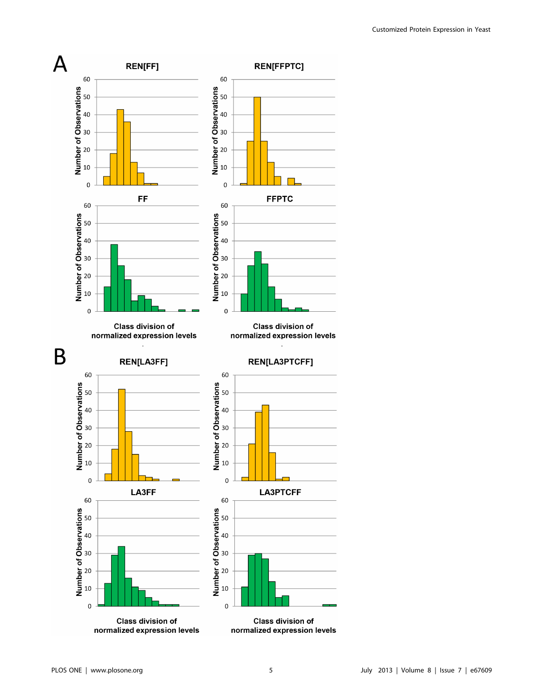

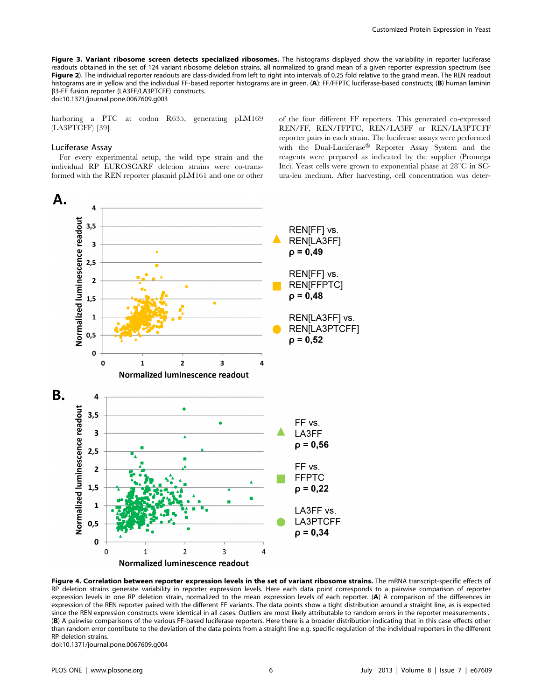Figure 3. Variant ribosome screen detects specialized ribosomes. The histograms displayed show the variability in reporter luciferase readouts obtained in the set of 124 variant ribosome deletion strains, all normalized to grand mean of a given reporter expression spectrum (see Figure 2). The individual reporter readouts are class-divided from left to right into intervals of 0.25 fold relative to the grand mean. The REN readout histograms are in yellow and the individual FF-based reporter histograms are in green. (A): FF/FFPTC luciferase-based constructs; (B) human laminin b3-FF fusion reporter (LA3FF/LA3PTCFF) constructs.

doi:10.1371/journal.pone.0067609.g003

harboring a PTC at codon R635, generating pLM169 (LA3PTCFF) [39].

#### Luciferase Assay

For every experimental setup, the wild type strain and the individual RP EUROSCARF deletion strains were co-transformed with the REN reporter plasmid pLM161 and one or other of the four different FF reporters. This generated co-expressed REN/FF, REN/FFPTC, REN/LA3FF or REN/LA3PTCFF reporter pairs in each strain. The luciferase assays were performed with the Dual-Luciferase® Reporter Assay System and the reagents were prepared as indicated by the supplier (Promega Inc). Yeast cells were grown to exponential phase at  $28^{\circ}$ C in SCura-leu medium. After harvesting, cell concentration was deter-



Figure 4. Correlation between reporter expression levels in the set of variant ribosome strains. The mRNA transcript-specific effects of RP deletion strains generate variability in reporter expression levels. Here each data point corresponds to a pairwise comparison of reporter expression levels in one RP deletion strain, normalized to the mean expression levels of each reporter. (A) A comparison of the differences in expression of the REN reporter paired with the different FF variants. The data points show a tight distribution around a straight line, as is expected since the REN expression constructs were identical in all cases. Outliers are most likely attributable to random errors in the reporter measurements. (B) A pairwise comparisons of the various FF-based luciferase reporters. Here there is a broader distribution indicating that in this case effects other than random error contribute to the deviation of the data points from a straight line e.g. specific regulation of the individual reporters in the different RP deletion strains.

doi:10.1371/journal.pone.0067609.g004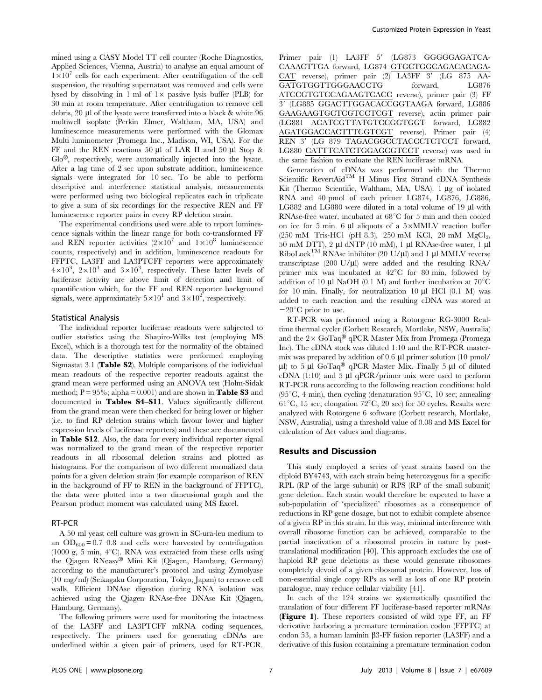mined using a CASY Model TT cell counter (Roche Diagnostics, Applied Sciences, Vienna, Austria) to analyse an equal amount of  $1\times10^{7}$  cells for each experiment. After centrifugation of the cell suspension, the resulting supernatant was removed and cells were lysed by dissolving in 1 ml of  $1\times$  passive lysis buffer (PLB) for 30 min at room temperature. After centrifugation to remove cell debris,  $20 \mu$  of the lysate were transferred into a black  $\&$  white 96 multiwell isoplate (Perkin Elmer, Waltham, MA, USA) and luminescence measurements were performed with the Glomax Multi luminometer (Promega Inc., Madison, WI, USA). For the FF and the REN reactions 50 µl of LAR II and 50 µl Stop & Glo<sup>®</sup>, respectively, were automatically injected into the lysate. After a lag time of 2 sec upon substrate addition, luminescence signals were integrated for 10 sec. To be able to perform descriptive and interference statistical analysis, measurements were performed using two biological replicates each in triplicate to give a sum of six recordings for the respective REN and FF luminescence reporter pairs in every RP deletion strain.

The experimental conditions used were able to report luminescence signals within the linear range for both co-transformed FF and REN reporter activities  $(2\times10^7$  and  $1\times10^8$  luminescence counts, respectively) and in addition, luminescence readouts for FFPTC, LA3FF and LA3PTCFF reporters were approximately  $4 \times 10^3$ ,  $2 \times 10^4$  and  $3 \times 10^3$ , respectively. These latter levels of luciferase activity are above limit of detection and limit of quantification which, for the FF and REN reporter background signals, were approximately  $5\times10^{1}$  and  $3\times10^{2}$ , respectively.

#### Statistical Analysis

The individual reporter luciferase readouts were subjected to outlier statistics using the Shapiro-Wilks test (employing MS Excel), which is a thorough test for the normality of the obtained data. The descriptive statistics were performed employing Sigmastat 3.1 (Table S2). Multiple comparisons of the individual mean readouts of the respective reporter readouts against the grand mean were performed using an ANOVA test (Holm-Sidak method;  $P = 95\%$ ; alpha = 0.001) and are shown in **Table S3** and documented in Tables S4–S11. Values significantly different from the grand mean were then checked for being lower or higher (i.e. to find RP deletion strains which favour lower and higher expression levels of luciferase reporters) and these are documented in Table S12. Also, the data for every individual reporter signal was normalized to the grand mean of the respective reporter readouts in all ribosomal deletion strains and plotted as histograms. For the comparison of two different normalized data points for a given deletion strain (for example comparison of REN in the background of FF to REN in the background of FFPTC), the data were plotted into a two dimensional graph and the Pearson product moment was calculated using MS Excel.

#### RT-PCR

A 50 ml yeast cell culture was grown in SC-ura-leu medium to an  $OD_{600} = 0.7{\text -}0.8$  and cells were harvested by centrifugation (1000 g, 5 min,  $4^{\circ}$ C). RNA was extracted from these cells using the Qiagen RNeasy® Mini Kit (Qiagen, Hamburg, Germany) according to the manufacturer's protocol and using Zymolyase (10 mg/ml) (Seikagaku Corporation, Tokyo, Japan) to remove cell walls. Efficient DNAse digestion during RNA isolation was achieved using the Qiagen RNAse-free DNAse Kit (Qiagen, Hamburg, Germany).

The following primers were used for monitoring the intactness of the LA3FF and LA3PTCFF mRNA coding sequences, respectively. The primers used for generating cDNAs are underlined within a given pair of primers, used for RT-PCR. Primer pair (1) LA3FF 5' (LG873 GGGGGAGATCA-CAAACTTGA forward, LG874 GTGCTGGCAGACACAGA- $CAT$  reverse), primer pair  $(2)$  LA3FF  $3'$  (LG 875 AA-GATGTGGTTGGGAACCTG forward, LG876 ATCCGTGTCCAGAAGTCACC reverse), primer pair (3) FF 39 (LG885 GGACTTGGACACCGGTAAGA forward, LG886 GAAGAAGTGCTCGTCCTCGT reverse), actin primer pair (LG881 ACATCGTTATGTCCGGTGGT forward, LG882 AGATGGACCACTTTCGTCGT reverse). Primer pair (4) REN 3' (LG 879 TAGACGGCCTACCCTCTCCT forward, LG880 CATTTCATCTGGAGCGTCCT reverse) was used in the same fashion to evaluate the REN luciferase mRNA.

Generation of cDNAs was performed with the Thermo Scientific RevertAid<sup>TM</sup> H Minus First Strand cDNA Synthesis Kit (Thermo Scientific, Waltham, MA, USA).  $1 \mu$ g of isolated RNA and 40 pmol of each primer LG874, LG876, LG886, LG882 and LG880 were diluted in a total volume of  $19 \mu l$  with RNAse-free water, incubated at  $68^{\circ}$ C for 5 min and then cooled on ice for 5 min. 6  $\mu$ l aliquots of a 5×MMLV reaction buffer (250 mM Tris-HCl (pH 8.3), 250 mM KCl, 20 mM MgCl<sub>2</sub>, 50 mM DTT), 2  $\mu$ l dNTP (10 mM), 1  $\mu$ l RNAse-free water, 1  $\mu$ l RiboLock<sup>TM</sup> RNAse inhibitor (20 U/µl) and 1 µl MMLV reverse transcriptase  $(200 \text{ U/}\mu\text{I})$  were added and the resulting RNA/ primer mix was incubated at  $42^{\circ}$ C for 80 min, followed by addition of 10  $\mu$ l NaOH (0.1 M) and further incubation at 70<sup>°</sup>C for 10 min. Finally, for neutralization 10  $\mu$ l HCl (0.1 M) was added to each reaction and the resulting cDNA was stored at  $-20^{\circ}$ C prior to use.

RT-PCR was performed using a Rotorgene RG-3000 Realtime thermal cycler (Corbett Research, Mortlake, NSW, Australia) and the  $2 \times$  GoTaq® qPCR Master Mix from Promega (Promega Inc). The cDNA stock was diluted 1:10 and the RT-PCR mastermix was prepared by addition of  $0.6 \mu$ l primer solution (10 pmol/  $\mu$ l) to 5  $\mu$ l GoTaq® qPCR Master Mix. Finally 5  $\mu$ l of diluted cDNA  $(1:10)$  and 5 µl qPCR/primer mix were used to perform RT-PCR runs according to the following reaction conditions: hold (95 $\mathrm{^{\circ}C}$ , 4 min), then cycling (denaturation 95 $\mathrm{^{\circ}C}$ , 10 sec; annealing 61<sup>°</sup>C, 15 sec; elongation 72<sup>°</sup>C, 20 sec) for 50 cycles. Results were analyzed with Rotorgene 6 software (Corbett research, Mortlake, NSW, Australia), using a threshold value of 0.08 and MS Excel for calculation of  $\Delta$ ct values and diagrams.

#### Results and Discussion

This study employed a series of yeast strains based on the diploid BY4743, with each strain being heterozygous for a specific RPL (RP of the large subunit) or RPS (RP of the small subunit) gene deletion. Each strain would therefore be expected to have a sub-population of 'specialized' ribosomes as a consequence of reductions in RP gene dosage, but not to exhibit complete absence of a given RP in this strain. In this way, minimal interference with overall ribosome function can be achieved, comparable to the partial inactivation of a ribosomal protein in nature by posttranslational modification [40]. This approach excludes the use of haploid RP gene deletions as these would generate ribosomes completely devoid of a given ribosomal protein. However, loss of non-essential single copy RPs as well as loss of one RP protein paralogue, may reduce cellular viability [41].

In each of the 124 strains we systematically quantified the translation of four different FF luciferase-based reporter mRNAs (Figure 1). These reporters consisted of wild type FF, an FF derivative harboring a premature termination codon (FFPTC) at codon 53, a human laminin  $\beta$ 3-FF fusion reporter (LA3FF) and a derivative of this fusion containing a premature termination codon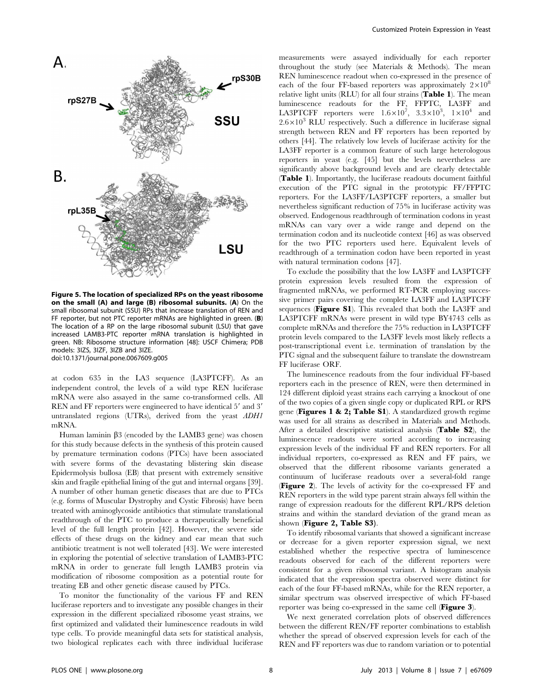

Figure 5. The location of specialized RPs on the yeast ribosome on the small (A) and large (B) ribosomal subunits. (A) On the small ribosomal subunit (SSU) RPs that increase translation of REN and FF reporter, but not PTC reporter mRNAs are highlighted in green. (B) The location of a RP on the large ribosomal subunit (LSU) that gave increased LAMB3-PTC reporter mRNA translation is highlighted in green. NB: Ribosome structure information [48]: USCF Chimera; PDB models: 3IZS, 3IZF, 3IZB and 3IZE. doi:10.1371/journal.pone.0067609.g005

at codon 635 in the LA3 sequence (LA3PTCFF). As an independent control, the levels of a wild type REN luciferase mRNA were also assayed in the same co-transformed cells. All REN and FF reporters were engineered to have identical 5' and 3' untranslated regions (UTRs), derived from the yeast ADH1 mRNA.

Human laminin  $\beta$ 3 (encoded by the LAMB3 gene) was chosen for this study because defects in the synthesis of this protein caused by premature termination codons (PTCs) have been associated with severe forms of the devastating blistering skin disease Epidermolysis bullosa (EB) that present with extremely sensitive skin and fragile epithelial lining of the gut and internal organs [39]. A number of other human genetic diseases that are due to PTCs (e.g. forms of Muscular Dystrophy and Cystic Fibrosis) have been treated with aminoglycoside antibiotics that stimulate translational readthrough of the PTC to produce a therapeutically beneficial level of the full length protein [42]. However, the severe side effects of these drugs on the kidney and ear mean that such antibiotic treatment is not well tolerated [43]. We were interested in exploring the potential of selective translation of LAMB3-PTC mRNA in order to generate full length LAMB3 protein via modification of ribosome composition as a potential route for treating EB and other genetic disease caused by PTCs.

To monitor the functionality of the various FF and REN luciferase reporters and to investigate any possible changes in their expression in the different specialized ribosome yeast strains, we first optimized and validated their luminescence readouts in wild type cells. To provide meaningful data sets for statistical analysis, two biological replicates each with three individual luciferase measurements were assayed individually for each reporter throughout the study (see Materials & Methods). The mean REN luminescence readout when co-expressed in the presence of each of the four FF-based reporters was approximately  $2 \times 10^8$ relative light units (RLU) for all four strains (Table 1). The mean luminescence readouts for the FF, FFPTC, LA3FF and LA3PTCFF reporters were  $1.6\times10^7$ ,  $3.3\times10^3$ ,  $1\times10^4$  and  $2.6\times10^{3}$  RLU respectively. Such a difference in luciferase signal strength between REN and FF reporters has been reported by others [44]. The relatively low levels of luciferase activity for the LA3FF reporter is a common feature of such large heterologous reporters in yeast (e.g. [45] but the levels nevertheless are significantly above background levels and are clearly detectable (Table 1). Importantly, the luciferase readouts document faithful execution of the PTC signal in the prototypic FF/FFPTC reporters. For the LA3FF/LA3PTCFF reporters, a smaller but nevertheless significant reduction of 75% in luciferase activity was observed. Endogenous readthrough of termination codons in yeast mRNAs can vary over a wide range and depend on the termination codon and its nucleotide context [46] as was observed for the two PTC reporters used here. Equivalent levels of readthrough of a termination codon have been reported in yeast with natural termination codons [47].

To exclude the possibility that the low LA3FF and LA3PTCFF protein expression levels resulted from the expression of fragmented mRNAs, we performed RT-PCR employing successive primer pairs covering the complete LA3FF and LA3PTCFF sequences (Figure S1). This revealed that both the LA3FF and LA3PTCFF mRNAs were present in wild type BY4743 cells as complete mRNAs and therefore the 75% reduction in LA3PTCFF protein levels compared to the LA3FF levels most likely reflects a post-transcriptional event i.e. termination of translation by the PTC signal and the subsequent failure to translate the downstream FF luciferase ORF.

The luminescence readouts from the four individual FF-based reporters each in the presence of REN, were then determined in 124 different diploid yeast strains each carrying a knockout of one of the two copies of a given single copy or duplicated RPL or RPS gene (Figures 1 & 2; Table S1). A standardized growth regime was used for all strains as described in Materials and Methods. After a detailed descriptive statistical analysis (Table S2), the luminescence readouts were sorted according to increasing expression levels of the individual FF and REN reporters. For all individual reporters, co-expressed as REN and FF pairs, we observed that the different ribosome variants generated a continuum of luciferase readouts over a several-fold range (Figure 2). The levels of activity for the co-expressed FF and REN reporters in the wild type parent strain always fell within the range of expression readouts for the different RPL/RPS deletion strains and within the standard deviation of the grand mean as shown (Figure 2, Table S3).

To identify ribosomal variants that showed a significant increase or decrease for a given reporter expression signal, we next established whether the respective spectra of luminescence readouts observed for each of the different reporters were consistent for a given ribosomal variant. A histogram analysis indicated that the expression spectra observed were distinct for each of the four FF-based mRNAs, while for the REN reporter, a similar spectrum was observed irrespective of which FF-based reporter was being co-expressed in the same cell (Figure 3).

We next generated correlation plots of observed differences between the different REN/FF reporter combinations to establish whether the spread of observed expression levels for each of the REN and FF reporters was due to random variation or to potential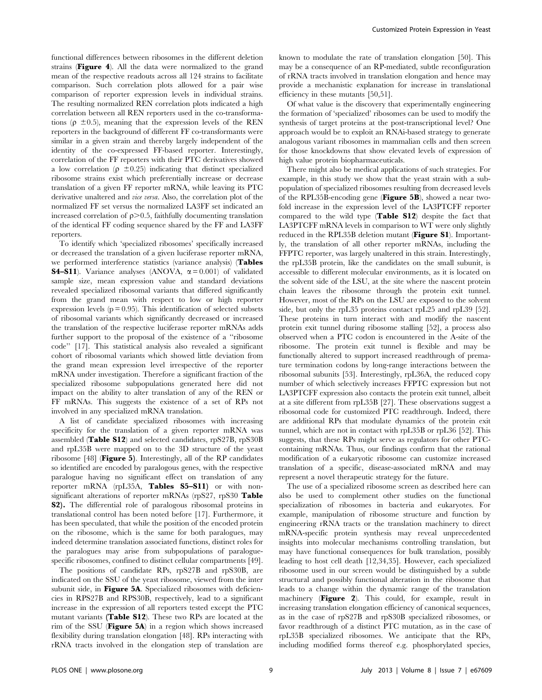functional differences between ribosomes in the different deletion strains (Figure 4). All the data were normalized to the grand mean of the respective readouts across all 124 strains to facilitate comparison. Such correlation plots allowed for a pair wise comparison of reporter expression levels in individual strains. The resulting normalized REN correlation plots indicated a high correlation between all REN reporters used in the co-transformations ( $\rho \pm 0.5$ ), meaning that the expression levels of the REN reporters in the background of different FF co-transformants were similar in a given strain and thereby largely independent of the identity of the co-expressed FF-based reporter. Interestingly, correlation of the FF reporters with their PTC derivatives showed a low correlation ( $\rho \pm 0.25$ ) indicating that distinct specialized ribosome strains exist which preferentially increase or decrease translation of a given FF reporter mRNA, while leaving its PTC derivative unaltered and vice versa. Also, the correlation plot of the normalized FF set versus the normalized LA3FF set indicated an increased correlation of  $\rho$  > 0.5, faithfully documenting translation of the identical FF coding sequence shared by the FF and LA3FF reporters.

To identify which 'specialized ribosomes' specifically increased or decreased the translation of a given luciferase reporter mRNA, we performed interference statistics (variance analysis) (Tables **S4–S11**). Variance analyses (ANOVA,  $\alpha = 0.001$ ) of validated sample size, mean expression value and standard deviations revealed specialized ribosomal variants that differed significantly from the grand mean with respect to low or high reporter expression levels  $(p = 0.95)$ . This identification of selected subsets of ribosomal variants which significantly decreased or increased the translation of the respective luciferase reporter mRNAs adds further support to the proposal of the existence of a ''ribosome code'' [17]. This statistical analysis also revealed a significant cohort of ribosomal variants which showed little deviation from the grand mean expression level irrespective of the reporter mRNA under investigation. Therefore a significant fraction of the specialized ribosome subpopulations generated here did not impact on the ability to alter translation of any of the REN or FF mRNAs. This suggests the existence of a set of RPs not involved in any specialized mRNA translation.

A list of candidate specialized ribosomes with increasing specificity for the translation of a given reporter mRNA was assembled (Table S12) and selected candidates, rpS27B, rpS30B and rpL35B were mapped on to the 3D structure of the yeast ribosome [48] (Figure 5). Interestingly, all of the RP candidates so identified are encoded by paralogous genes, with the respective paralogue having no significant effect on translation of any reporter mRNA (rpL35A, Tables S5-S11) or with nonsignificant alterations of reporter mRNAs (rpS27, rpS30 Table S2). The differential role of paralogous ribosomal proteins in translational control has been noted before [17]. Furthermore, it has been speculated, that while the position of the encoded protein on the ribosome, which is the same for both paralogues, may indeed determine translation associated functions, distinct roles for the paralogues may arise from subpopulations of paraloguespecific ribosomes, confined to distinct cellular compartments [49].

The positions of candidate RPs, rpS27B and rpS30B, are indicated on the SSU of the yeast ribosome, viewed from the inter subunit side, in Figure 5A. Specialized ribosomes with deficiencies in RPS27B and RPS30B, respectively, lead to a significant increase in the expression of all reporters tested except the PTC mutant variants (Table S12). These two RPs are located at the rim of the SSU (Figure 5A) in a region which shows increased flexibility during translation elongation [48]. RPs interacting with rRNA tracts involved in the elongation step of translation are known to modulate the rate of translation elongation [50]. This may be a consequence of an RP-mediated, subtle reconfiguration of rRNA tracts involved in translation elongation and hence may provide a mechanistic explanation for increase in translational efficiency in these mutants [50,51].

Of what value is the discovery that experimentally engineering the formation of 'specialized' ribosomes can be used to modify the synthesis of target proteins at the post-transcriptional level? One approach would be to exploit an RNAi-based strategy to generate analogous variant ribosomes in mammalian cells and then screen for those knockdowns that show elevated levels of expression of high value protein biopharmaceuticals.

There might also be medical applications of such strategies. For example, in this study we show that the yeast strain with a subpopulation of specialized ribosomes resulting from decreased levels of the RPL35B-encoding gene (Figure 5B), showed a near twofold increase in the expression level of the LA3PTCFF reporter compared to the wild type (Table S12) despite the fact that LA3PTCFF mRNA levels in comparison to WT were only slightly reduced in the RPL35B deletion mutant (Figure S1). Importantly, the translation of all other reporter mRNAs, including the FFPTC reporter, was largely unaltered in this strain. Interestingly, the rpL35B protein, like the candidates on the small subunit, is accessible to different molecular environments, as it is located on the solvent side of the LSU, at the site where the nascent protein chain leaves the ribosome through the protein exit tunnel. However, most of the RPs on the LSU are exposed to the solvent side, but only the rpL35 proteins contact rpL25 and rpL39 [52]. These proteins in turn interact with and modify the nascent protein exit tunnel during ribosome stalling [52], a process also observed when a PTC codon is encountered in the A-site of the ribosome. The protein exit tunnel is flexible and may be functionally altered to support increased readthrough of premature termination codons by long-range interactions between the ribosomal subunits [53]. Interestingly, rpL36A, the reduced copy number of which selectively increases FFPTC expression but not LA3PTCFF expression also contacts the protein exit tunnel, albeit at a site different from rpL35B [27]. These observations suggest a ribosomal code for customized PTC readthrough. Indeed, there are additional RPs that modulate dynamics of the protein exit tunnel, which are not in contact with rpL35B or rpL36 [52]. This suggests, that these RPs might serve as regulators for other PTCcontaining mRNAs. Thus, our findings confirm that the rational modification of a eukaryotic ribosome can customize increased translation of a specific, disease-associated mRNA and may represent a novel therapeutic strategy for the future.

The use of a specialized ribosome screen as described here can also be used to complement other studies on the functional specialization of ribosomes in bacteria and eukaryotes. For example, manipulation of ribosome structure and function by engineering rRNA tracts or the translation machinery to direct mRNA-specific protein synthesis may reveal unprecedented insights into molecular mechanisms controlling translation, but may have functional consequences for bulk translation, possibly leading to host cell death [12,34,35]. However, each specialized ribosome used in our screen would be distinguished by a subtle structural and possibly functional alteration in the ribosome that leads to a change within the dynamic range of the translation machinery (Figure 2). This could, for example, result in increasing translation elongation efficiency of canonical sequences, as in the case of rpS27B and rpS30B specialized ribosomes, or favor readthrough of a distinct PTC mutation, as in the case of rpL35B specialized ribosomes. We anticipate that the RPs, including modified forms thereof e.g. phosphorylated species,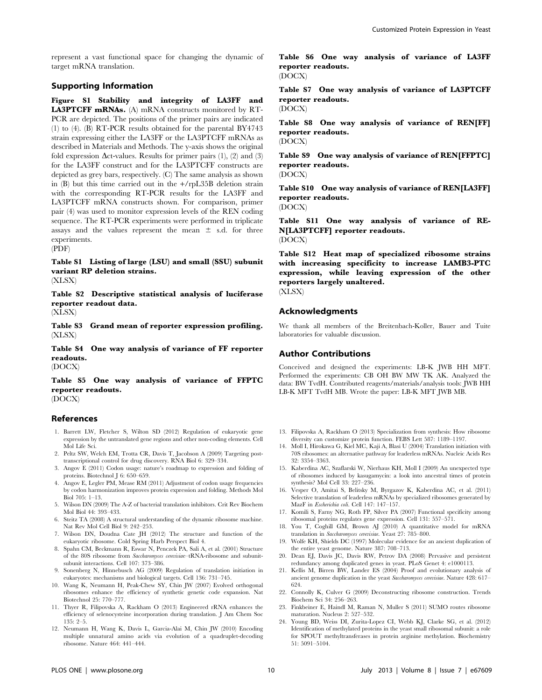represent a vast functional space for changing the dynamic of target mRNA translation.

#### Supporting Information

Figure S1 Stability and integrity of LA3FF and LA3PTCFF mRNAs. (A) mRNA constructs monitored by RT-PCR are depicted. The positions of the primer pairs are indicated (1) to (4). (B) RT-PCR results obtained for the parental BY4743 strain expressing either the LA3FF or the LA3PTCFF mRNAs as described in Materials and Methods. The y-axis shows the original fold expression  $\Delta$ ct-values. Results for primer pairs (1), (2) and (3) for the LA3FF construct and for the LA3PTCFF constructs are depicted as grey bars, respectively. (C) The same analysis as shown in (B) but this time carried out in the +/rpL35B deletion strain with the corresponding RT-PCR results for the LA3FF and LA3PTCFF mRNA constructs shown. For comparison, primer pair (4) was used to monitor expression levels of the REN coding sequence. The RT-PCR experiments were performed in triplicate assays and the values represent the mean  $\pm$  s.d. for three experiments. (PDF)

Table S1 Listing of large (LSU) and small (SSU) subunit variant RP deletion strains. (XLSX)

Table S2 Descriptive statistical analysis of luciferase reporter readout data.

(XLSX)

Table S3 Grand mean of reporter expression profiling. (XLSX)

Table S4 One way analysis of variance of FF reporter readouts.

(DOCX)

Table S5 One way analysis of variance of FFPTC reporter readouts. (DOCX)

#### References

- 1. Barrett LW, Fletcher S, Wilton SD (2012) Regulation of eukaryotic gene expression by the untranslated gene regions and other non-coding elements. Cell Mol Life Sci.
- 2. Peltz SW, Welch EM, Trotta CR, Davis T, Jacobson A (2009) Targeting posttranscriptional control for drug discovery. RNA Biol 6: 329–334.
- 3. Angov E (2011) Codon usage: nature's roadmap to expression and folding of proteins. Biotechnol J 6: 650–659.
- 4. Angov E, Legler PM, Mease RM (2011) Adjustment of codon usage frequencies by codon harmonization improves protein expression and folding. Methods Mol Biol 705: 1–13.
- 5. Wilson DN (2009) The A-Z of bacterial translation inhibitors. Crit Rev Biochem Mol Biol 44: 393–433.
- 6. Steitz TA (2008) A structural understanding of the dynamic ribosome machine. Nat Rev Mol Cell Biol 9: 242–253.
- 7. Wilson DN, Doudna Cate JH (2012) The structure and function of the eukaryotic ribosome. Cold Spring Harb Perspect Biol 4.
- 8. Spahn CM, Beckmann R, Eswar N, Penczek PA, Sali A, et al. (2001) Structure of the 80S ribosome from Saccharomyces cerevisiae–tRNA-ribosome and subunitsubunit interactions. Cell 107: 373–386.
- 9. Sonenberg N, Hinnebusch AG (2009) Regulation of translation initiation in eukaryotes: mechanisms and biological targets. Cell 136: 731–745.
- 10. Wang K, Neumann H, Peak-Chew SY, Chin JW (2007) Evolved orthogonal ribosomes enhance the efficiency of synthetic genetic code expansion. Nat Biotechnol 25: 770–777.
- 11. Thyer R, Filipovska A, Rackham O (2013) Engineered rRNA enhances the efficiency of selenocysteine incorporation during translation. J Am Chem Soc 135: 2–5.
- 12. Neumann H, Wang K, Davis L, Garcia-Alai M, Chin JW (2010) Encoding multiple unnatural amino acids via evolution of a quadruplet-decoding ribosome. Nature 464: 441–444.

Table S6 One way analysis of variance of LA3FF reporter readouts. (DOCX)

Table S7 One way analysis of variance of LA3PTCFF reporter readouts.

(DOCX)

Table S8 One way analysis of variance of REN[FF] reporter readouts. (DOCX)

Table S9 One way analysis of variance of REN[FFPTC] reporter readouts.

(DOCX)

Table S10 One way analysis of variance of REN[LA3FF] reporter readouts. (DOCX)

Table S11 One way analysis of variance of RE-N[LA3PTCFF] reporter readouts. (DOCX)

Table S12 Heat map of specialized ribosome strains with increasing specificity to increase LAMB3-PTC expression, while leaving expression of the other reporters largely unaltered.

(XLSX)

#### Acknowledgments

We thank all members of the Breitenbach-Koller, Bauer and Tuite laboratories for valuable discussion.

#### Author Contributions

Conceived and designed the experiments: LB-K JWB HH MFT. Performed the experiments: CB OH BW MW TK AK. Analyzed the data: BW TvdH. Contributed reagents/materials/analysis tools: JWB HH LB-K MFT TvdH MB. Wrote the paper: LB-K MFT JWB MB.

- 13. Filipovska A, Rackham O (2013) Specialization from synthesis: How ribosome diversity can customize protein function. FEBS Lett 587: 1189–1197.
- 14. Moll I, Hirokawa G, Kiel MC, Kaji A, Blasi U (2004) Translation initiation with 70S ribosomes: an alternative pathway for leaderless mRNAs. Nucleic Acids Res 32: 3354–3363.
- 15. Kaberdina AC, Szaflarski W, Nierhaus KH, Moll I (2009) An unexpected type of ribosomes induced by kasugamycin: a look into ancestral times of protein synthesis? Mol Cell 33: 227–236.
- 16. Vesper O, Amitai S, Belitsky M, Byrgazov K, Kaberdina AC, et al. (2011) Selective translation of leaderless mRNAs by specialized ribosomes generated by MazF in Escherichia coli. Cell 147: 147–157.
- 17. Komili S, Farny NG, Roth FP, Silver PA (2007) Functional specificity among ribosomal proteins regulates gene expression. Cell 131: 557–571.
- 18. You T, Coghill GM, Brown AJ (2010) A quantitative model for mRNA translation in Saccharomyces cerevisiae. Yeast 27: 785–800.
- 19. Wolfe KH, Shields DC (1997) Molecular evidence for an ancient duplication of the entire yeast genome. Nature 387: 708–713.
- 20. Dean EJ, Davis JC, Davis RW, Petrov DA (2008) Pervasive and persistent redundancy among duplicated genes in yeast. PLoS Genet 4: e1000113.
- 21. Kellis M, Birren BW, Lander ES (2004) Proof and evolutionary analysis of ancient genome duplication in the yeast Saccharomyces cerevisiae. Nature 428: 617– 624.
- 22. Connolly K, Culver G (2009) Deconstructing ribosome construction. Trends Biochem Sci 34: 256–263.
- 23. Finkbeiner E, Haindl M, Raman N, Muller S (2011) SUMO routes ribosome maturation. Nucleus 2: 527–532.
- 24. Young BD, Weiss DI, Zurita-Lopez CI, Webb KJ, Clarke SG, et al. (2012) Identification of methylated proteins in the yeast small ribosomal subunit: a role for SPOUT methyltransferases in protein arginine methylation. Biochemistry 51: 5091–5104.